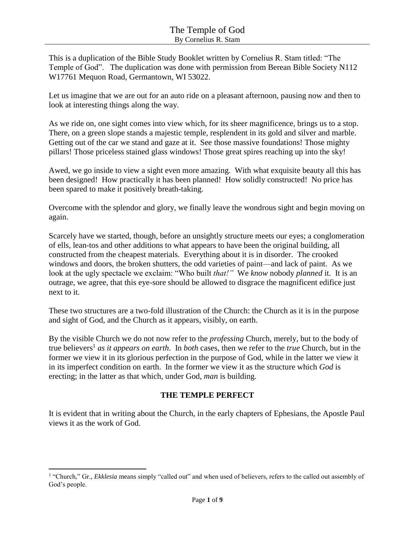This is a duplication of the Bible Study Booklet written by Cornelius R. Stam titled: "The Temple of God". The duplication was done with permission from Berean Bible Society N112 W17761 Mequon Road, Germantown, WI 53022.

Let us imagine that we are out for an auto ride on a pleasant afternoon, pausing now and then to look at interesting things along the way.

As we ride on, one sight comes into view which, for its sheer magnificence, brings us to a stop. There, on a green slope stands a majestic temple, resplendent in its gold and silver and marble. Getting out of the car we stand and gaze at it. See those massive foundations! Those mighty pillars! Those priceless stained glass windows! Those great spires reaching up into the sky!

Awed, we go inside to view a sight even more amazing. With what exquisite beauty all this has been designed! How practically it has been planned! How solidly constructed! No price has been spared to make it positively breath-taking.

Overcome with the splendor and glory, we finally leave the wondrous sight and begin moving on again.

Scarcely have we started, though, before an unsightly structure meets our eyes; a conglomeration of ells, lean-tos and other additions to what appears to have been the original building, all constructed from the cheapest materials. Everything about it is in disorder. The crooked windows and doors, the broken shutters, the odd varieties of paint—and lack of paint. As we look at the ugly spectacle we exclaim: "Who built *that!"* We *know* nobody *planned* it. It is an outrage, we agree, that this eye-sore should be allowed to disgrace the magnificent edifice just next to it.

These two structures are a two-fold illustration of the Church: the Church as it is in the purpose and sight of God, and the Church as it appears, visibly, on earth.

By the visible Church we do not now refer to the *professing* Church, merely, but to the body of true believers<sup>1</sup> *as it appears on earth*. In *both* cases, then we refer to the *true* Church, but in the former we view it in its glorious perfection in the purpose of God, while in the latter we view it in its imperfect condition on earth. In the former we view it as the structure which *God* is erecting; in the latter as that which, under God, *man* is building.

### **THE TEMPLE PERFECT**

It is evident that in writing about the Church, in the early chapters of Ephesians, the Apostle Paul views it as the work of God.

<sup>&</sup>lt;sup>1</sup> "Church," Gr., *Ekklesia* means simply "called out" and when used of believers, refers to the called out assembly of God's people.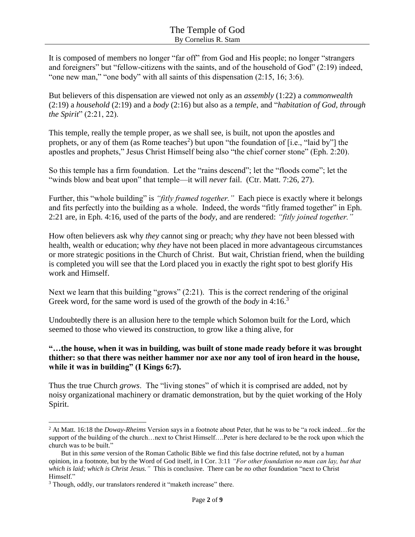It is composed of members no longer "far off" from God and His people; no longer "strangers and foreigners" but "fellow-citizens with the saints, and of the household of God" (2:19) indeed, "one new man," "one body" with all saints of this dispensation (2:15, 16; 3:6).

But believers of this dispensation are viewed not only as an *assembly* (1:22) a *commonwealth* (2:19) a *household* (2:19) and a *body* (2:16) but also as a *temple*, and "*habitation of God, through the Spirit*" (2:21, 22).

This temple, really the temple proper, as we shall see, is built, not upon the apostles and prophets, or any of them (as Rome teaches<sup>2</sup>) but upon "the foundation of [i.e., "laid by"] the apostles and prophets," Jesus Christ Himself being also "the chief corner stone" (Eph. 2:20).

So this temple has a firm foundation. Let the "rains descend"; let the "floods come"; let the "winds blow and beat upon" that temple—it will *never* fail. (Ctr. Matt. 7:26, 27).

Further, this "whole building" is *"fitly framed together."* Each piece is exactly where it belongs and fits perfectly into the building as a whole. Indeed, the words "fitly framed together" in Eph. 2:21 are, in Eph. 4:16, used of the parts of the *body*, and are rendered: *"fitly joined together."*

How often believers ask why *they* cannot sing or preach; why *they* have not been blessed with health, wealth or education; why *they* have not been placed in more advantageous circumstances or more strategic positions in the Church of Christ. But wait, Christian friend, when the building is completed you will see that the Lord placed you in exactly the right spot to best glorify His work and Himself.

Next we learn that this building "grows"  $(2.21)$ . This is the correct rendering of the original Greek word, for the same word is used of the growth of the *body* in 4:16.<sup>3</sup>

Undoubtedly there is an allusion here to the temple which Solomon built for the Lord, which seemed to those who viewed its construction, to grow like a thing alive, for

### **"…the house, when it was in building, was built of stone made ready before it was brought thither: so that there was neither hammer nor axe nor any tool of iron heard in the house, while it was in building" (I Kings 6:7).**

Thus the true Church *grows*. The "living stones" of which it is comprised are added, not by noisy organizational machinery or dramatic demonstration, but by the quiet working of the Holy Spirit.

<sup>2</sup> At Matt. 16:18 the *Doway-Rheims* Version says in a footnote about Peter, that he was to be "a rock indeed…for the support of the building of the church…next to Christ Himself….Peter is here declared to be the rock upon which the church was to be built."

But in this *same* version of the Roman Catholic Bible we find this false doctrine refuted, not by a human opinion, in a footnote, but by the Word of God itself, in I Cor. 3:11 *"For other foundation no man can lay, but that which is laid; which is Christ Jesus."* This is conclusive. There can be *no* other foundation "next to Christ Himself."

<sup>&</sup>lt;sup>3</sup> Though, oddly, our translators rendered it "maketh increase" there.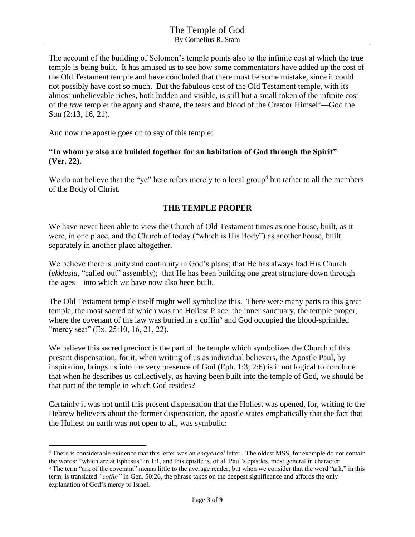The account of the building of Solomon's temple points also to the infinite cost at which the true temple is being built. It has amused us to see how some commentators have added up the cost of the Old Testament temple and have concluded that there must be some mistake, since it could not possibly have cost so much. But the fabulous cost of the Old Testament temple, with its almost unbelievable riches, both hidden and visible, is still but a small token of the infinite cost of the *true* temple: the agony and shame, the tears and blood of the Creator Himself—God the Son (2:13, 16, 21).

And now the apostle goes on to say of this temple:

l

#### **"In whom ye also are builded together for an habitation of God through the Spirit" (Ver. 22).**

We do not believe that the "ye" here refers merely to a local group<sup>4</sup> but rather to all the members of the Body of Christ.

#### **THE TEMPLE PROPER**

We have never been able to view the Church of Old Testament times as one house, built, as it were, in one place, and the Church of today ("which is His Body") as another house, built separately in another place altogether.

We believe there is unity and continuity in God's plans; that He has always had His Church (*ekklesia*, "called out" assembly); that He has been building one great structure down through the ages—into which *we* have now also been built.

The Old Testament temple itself might well symbolize this. There were many parts to this great temple, the most sacred of which was the Holiest Place, the inner sanctuary, the temple proper, where the covenant of the law was buried in a coffin<sup>5</sup> and God occupied the blood-sprinkled "mercy seat" (Ex. 25:10, 16, 21, 22).

We believe this sacred precinct is the part of the temple which symbolizes the Church of this present dispensation, for it, when writing of us as individual believers, the Apostle Paul, by inspiration, brings us into the very presence of God (Eph. 1:3; 2:6) is it not logical to conclude that when he describes us collectively, as having been built into the temple of God, we should be that part of the temple in which God resides?

Certainly it was not until this present dispensation that the Holiest was opened, for, writing to the Hebrew believers about the former dispensation, the apostle states emphatically that the fact that the Holiest on earth was not open to all, was symbolic:

<sup>4</sup> There is considerable evidence that this letter was an *encyclical* letter. The oldest MSS, for example do not contain the words: "which are at Ephesus" in 1:1, and this epistle is, of all Paul's epistles, most general in character.

<sup>&</sup>lt;sup>5</sup> The term "ark of the covenant" means little to the average reader, but when we consider that the word "ark," in this term, is translated *"coffin"* in Gen. 50:26, the phrase takes on the deepest significance and affords the only explanation of God's mercy to Israel.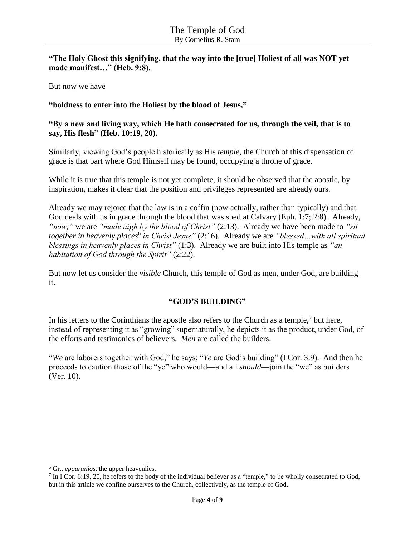**"The Holy Ghost this signifying, that the way into the [true] Holiest of all was NOT yet made manifest…" (Heb. 9:8).**

But now we have

#### **"boldness to enter into the Holiest by the blood of Jesus,"**

#### **"By a new and living way, which He hath consecrated for us, through the veil, that is to say, His flesh" (Heb. 10:19, 20).**

Similarly, viewing God's people historically as His *temple*, the Church of this dispensation of grace is that part where God Himself may be found, occupying a throne of grace.

While it is true that this temple is not yet complete, it should be observed that the apostle, by inspiration, makes it clear that the position and privileges represented are already ours.

Already we may rejoice that the law is in a coffin (now actually, rather than typically) and that God deals with us in grace through the blood that was shed at Calvary (Eph. 1:7; 2:8). Already, *"now,"* we are *"made nigh by the blood of Christ"* (2:13). Already we have been made to *"sit together in heavenly places*<sup>6</sup> *in Christ Jesus"* (2:16). Already we are *"blessed…with all spiritual blessings in heavenly places in Christ"* (1:3). Already we are built into His temple as *"an habitation of God through the Spirit"* (2:22).

But now let us consider the *visible* Church, this temple of God as men, under God, are building it.

#### **"GOD'S BUILDING"**

In his letters to the Corinthians the apostle also refers to the Church as a temple, $7$  but here, instead of representing it as "growing" supernaturally, he depicts it as the product, under God, of the efforts and testimonies of believers. *Men* are called the builders.

"*We* are laborers together with God," he says; "*Ye* are God's building" (I Cor. 3:9). And then he proceeds to caution those of the "ye" who would—and all *should*—join the "we" as builders (Ver. 10).

 $\overline{\phantom{a}}$ 

<sup>6</sup> Gr., *epouranios*, the upper heavenlies.

 $7$  In I Cor. 6:19, 20, he refers to the body of the individual believer as a "temple," to be wholly consecrated to God, but in this article we confine ourselves to the Church, collectively, as the temple of God.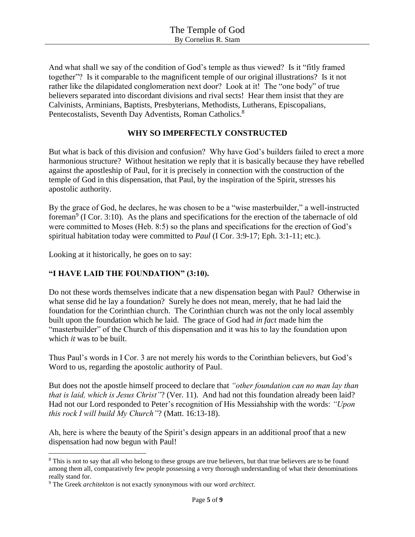And what shall we say of the condition of God's temple as thus viewed? Is it "fitly framed together"? Is it comparable to the magnificent temple of our original illustrations? Is it not rather like the dilapidated conglomeration next door? Look at it! The "one body" of true believers separated into discordant divisions and rival sects! Hear them insist that they are Calvinists, Arminians, Baptists, Presbyterians, Methodists, Lutherans, Episcopalians, Pentecostalists, Seventh Day Adventists, Roman Catholics.<sup>8</sup>

### **WHY SO IMPERFECTLY CONSTRUCTED**

But what is back of this division and confusion? Why have God's builders failed to erect a more harmonious structure? Without hesitation we reply that it is basically because they have rebelled against the apostleship of Paul, for it is precisely in connection with the construction of the temple of God in this dispensation, that Paul, by the inspiration of the Spirit, stresses his apostolic authority.

By the grace of God, he declares, he was chosen to be a "wise masterbuilder," a well-instructed foreman<sup>9</sup> (I Cor. 3:10). As the plans and specifications for the erection of the tabernacle of old were committed to Moses (Heb. 8:5) so the plans and specifications for the erection of God's spiritual habitation today were committed to *Paul* (I Cor. 3:9-17; Eph. 3:1-11; etc.).

Looking at it historically, he goes on to say:

### **"I HAVE LAID THE FOUNDATION" (3:10).**

Do not these words themselves indicate that a new dispensation began with Paul? Otherwise in what sense did he lay a foundation? Surely he does not mean, merely, that he had laid the foundation for the Corinthian church. The Corinthian church was not the only local assembly built upon the foundation which he laid. The grace of God had *in fact* made him the "masterbuilder" of the Church of this dispensation and it was his to lay the foundation upon which *it* was to be built.

Thus Paul's words in I Cor. 3 are not merely his words to the Corinthian believers, but God's Word to us, regarding the apostolic authority of Paul.

But does not the apostle himself proceed to declare that *"other foundation can no man lay than that is laid, which is Jesus Christ"*? (Ver. 11). And had not this foundation already been laid? Had not our Lord responded to Peter's recognition of His Messiahship with the words: *"Upon this rock I will build My Church"*? (Matt. 16:13-18).

Ah, here is where the beauty of the Spirit's design appears in an additional proof that a new dispensation had now begun with Paul!

<sup>8</sup> This is not to say that all who belong to these groups are true believers, but that true believers are to be found among them all, comparatively few people possessing a very thorough understanding of what their denominations really stand for.

<sup>9</sup> The Greek *architekton* is not exactly synonymous with our word *architect*.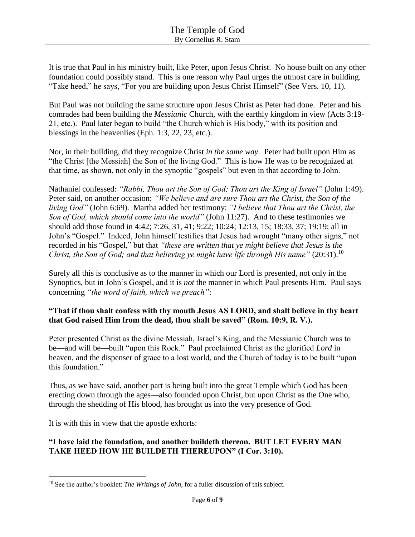It is true that Paul in his ministry built, like Peter, upon Jesus Christ. No house built on any other foundation could possibly stand. This is one reason why Paul urges the utmost care in building. "Take heed," he says, "For you are building upon Jesus Christ Himself" (See Vers. 10, 11).

But Paul was not building the same structure upon Jesus Christ as Peter had done. Peter and his comrades had been building the *Messianic* Church, with the earthly kingdom in view (Acts 3:19- 21, etc.). Paul later began to build "the Church which is His body," with its position and blessings in the heavenlies (Eph. 1:3, 22, 23, etc.).

Nor, in their building, did they recognize Christ *in the same way*. Peter had built upon Him as "the Christ [the Messiah] the Son of the living God." This is how He was to be recognized at that time, as shown, not only in the synoptic "gospels" but even in that according to John.

Nathaniel confessed: *"Rabbi, Thou art the Son of God; Thou art the King of Israel"* (John 1:49). Peter said, on another occasion: *"We believe and are sure Thou art the Christ, the Son of the living God"* (John 6:69). Martha added her testimony: *"I believe that Thou art the Christ, the Son of God, which should come into the world"* (John 11:27). And to these testimonies we should add those found in 4:42; 7:26, 31, 41; 9:22; 10:24; 12:13, 15; 18:33, 37; 19:19; all in John's "Gospel." Indeed, John himself testifies that Jesus had wrought "many other signs," not recorded in his "Gospel," but that *"these are written that ye might believe that Jesus is the Christ, the Son of God; and that believing ye might have life through His name*" (20:31).<sup>10</sup>

Surely all this is conclusive as to the manner in which our Lord is presented, not only in the Synoptics, but in John's Gospel, and it is *not* the manner in which Paul presents Him. Paul says concerning *"the word of faith, which we preach"*:

### **"That if thou shalt confess with thy mouth Jesus AS LORD, and shalt believe in thy heart that God raised Him from the dead, thou shalt be saved" (Rom. 10:9, R. V.).**

Peter presented Christ as the divine Messiah, Israel's King, and the Messianic Church was to be—and will be—built "upon this Rock." Paul proclaimed Christ as the glorified *Lord* in heaven, and the dispenser of grace to a lost world, and the Church of today is to be built "upon this foundation."

Thus, as we have said, another part is being built into the great Temple which God has been erecting down through the ages—also founded upon Christ, but upon Christ as the One who, through the shedding of His blood, has brought us into the very presence of God.

It is with this in view that the apostle exhorts:

# **"I have laid the foundation, and another buildeth thereon. BUT LET EVERY MAN TAKE HEED HOW HE BUILDETH THEREUPON" (I Cor. 3:10).**

 $\overline{\phantom{a}}$ <sup>10</sup> See the author's booklet: *The Writings of John*, for a fuller discussion of this subject.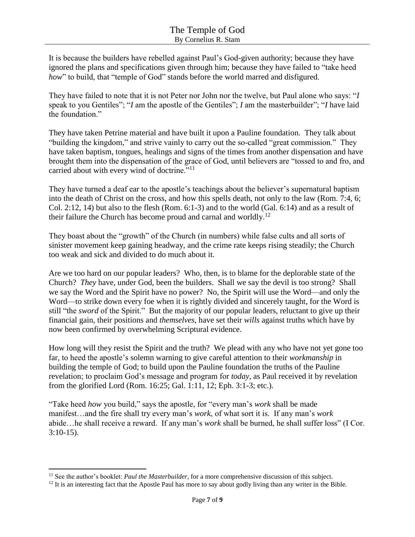It is because the builders have rebelled against Paul's God-given authority; because they have ignored the plans and specifications given through him; because they have failed to "take heed *how*" to build, that "temple of God" stands before the world marred and disfigured.

They have failed to note that it is not Peter nor John nor the twelve, but Paul alone who says: "*I* speak to you Gentiles"; "*I* am the apostle of the Gentiles"; *I* am the masterbuilder"; "*I* have laid the foundation."

They have taken Petrine material and have built it upon a Pauline foundation. They talk about "building the kingdom," and strive vainly to carry out the so-called "great commission." They have taken baptism, tongues, healings and signs of the times from another dispensation and have brought them into the dispensation of the grace of God, until believers are "tossed to and fro, and carried about with every wind of doctrine."<sup>11</sup>

They have turned a deaf ear to the apostle's teachings about the believer's supernatural baptism into the death of Christ on the cross, and how this spells death, not only to the law (Rom. 7:4, 6; Col. 2:12, 14) but also to the flesh (Rom. 6:1-3) and to the world (Gal. 6:14) and as a result of their failure the Church has become proud and carnal and worldly.<sup>12</sup>

They boast about the "growth" of the Church (in numbers) while false cults and all sorts of sinister movement keep gaining headway, and the crime rate keeps rising steadily; the Church too weak and sick and divided to do much about it.

Are we too hard on our popular leaders? Who, then, is to blame for the deplorable state of the Church? *They* have, under God, been the builders. Shall we say the devil is too strong? Shall we say the Word and the Spirit have no power? No, the Spirit will use the Word—and only the Word—to strike down every foe when it is rightly divided and sincerely taught, for the Word is still "the *sword* of the Spirit." But the majority of our popular leaders, reluctant to give up their financial gain, their positions and *themselves*, have set their *wills* against truths which have by now been confirmed by overwhelming Scriptural evidence.

How long will they resist the Spirit and the truth? We plead with any who have not yet gone too far, to heed the apostle's solemn warning to give careful attention to their *workmanship* in building the temple of God; to build upon the Pauline foundation the truths of the Pauline revelation; to proclaim God's message and program for *today*, as Paul received it by revelation from the glorified Lord (Rom. 16:25; Gal. 1:11, 12; Eph. 3:1-3; etc.).

"Take heed *how* you build," says the apostle, for "every man's *work* shall be made manifest…and the fire shall try every man's *work*, of what sort it is. If any man's *work* abide…he shall receive a reward. If any man's *work* shall be burned, he shall suffer loss" (I Cor. 3:10-15).

<sup>&</sup>lt;sup>11</sup> See the author's booklet: *Paul the Masterbuilder*, for a more comprehensive discussion of this subject.

<sup>&</sup>lt;sup>12</sup> It is an interesting fact that the Apostle Paul has more to say about godly living than any writer in the Bible.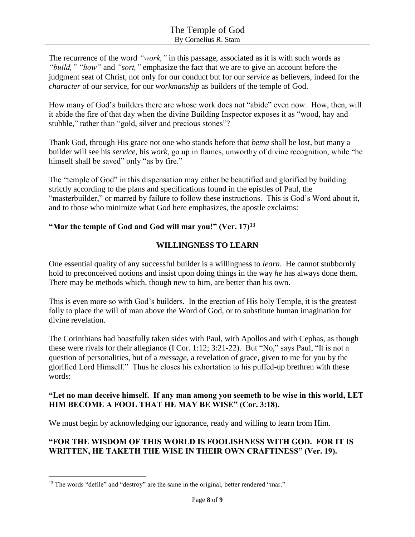The recurrence of the word *"work,"* in this passage, associated as it is with such words as *"build," "how"* and *"sort,"* emphasize the fact that we are to give an account before the judgment seat of Christ, not only for our conduct but for our *service* as believers, indeed for the *character* of our service, for our *workmanship* as builders of the temple of God.

How many of God's builders there are whose work does not "abide" even now. How, then, will it abide the fire of that day when the divine Building Inspector exposes it as "wood, hay and stubble," rather than "gold, silver and precious stones"?

Thank God, through His grace not one who stands before that *bema* shall be lost, but many a builder will see his *service*, his *work*, go up in flames, unworthy of divine recognition, while "he himself shall be saved" only "as by fire."

The "temple of God" in this dispensation may either be beautified and glorified by building strictly according to the plans and specifications found in the epistles of Paul, the "masterbuilder," or marred by failure to follow these instructions. This is God's Word about it, and to those who minimize what God here emphasizes, the apostle exclaims:

## **"Mar the temple of God and God will mar you!" (Ver. 17)<sup>13</sup>**

## **WILLINGNESS TO LEARN**

One essential quality of any successful builder is a willingness to *learn*. He cannot stubbornly hold to preconceived notions and insist upon doing things in the way *he* has always done them. There may be methods which, though new to him, are better than his own.

This is even more so with God's builders. In the erection of His holy Temple, it is the greatest folly to place the will of man above the Word of God, or to substitute human imagination for divine revelation.

The Corinthians had boastfully taken sides with Paul, with Apollos and with Cephas, as though these were rivals for their allegiance (I Cor. 1:12; 3:21-22). But "No," says Paul, "It is not a question of personalities, but of a *message*, a revelation of grace, given to me for you by the glorified Lord Himself." Thus he closes his exhortation to his puffed-up brethren with these words:

### **"Let no man deceive himself. If any man among you seemeth to be wise in this world, LET HIM BECOME A FOOL THAT HE MAY BE WISE" (Cor. 3:18).**

We must begin by acknowledging our ignorance, ready and willing to learn from Him.

# **"FOR THE WISDOM OF THIS WORLD IS FOOLISHNESS WITH GOD. FOR IT IS WRITTEN, HE TAKETH THE WISE IN THEIR OWN CRAFTINESS" (Ver. 19).**

 $\overline{\phantom{a}}$ <sup>13</sup> The words "defile" and "destroy" are the same in the original, better rendered "mar."